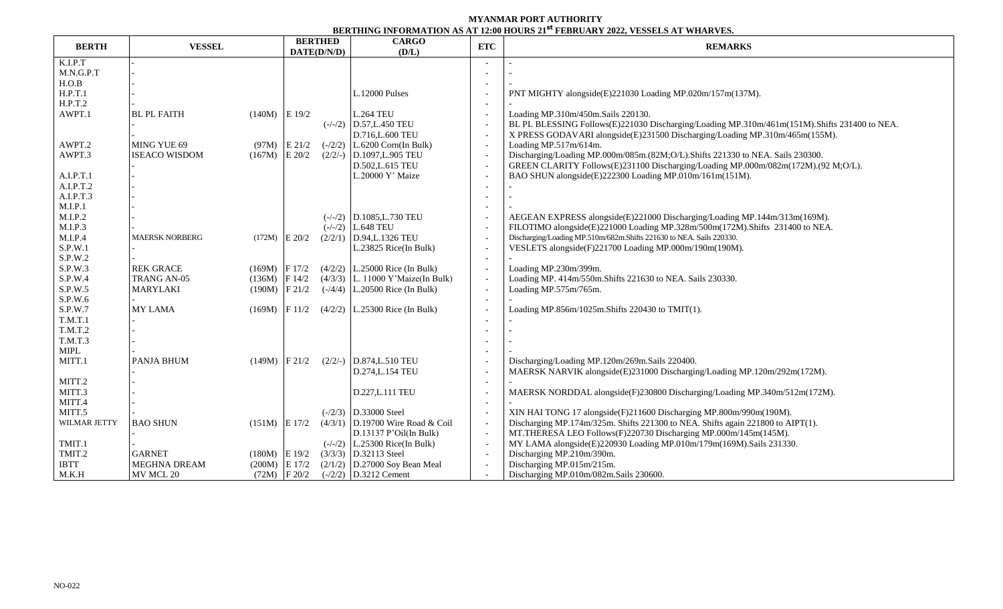## **MYANMAR PORT AUTHORITY BERTHING INFORMATION AS AT 12:00 HOURS 21 st FEBRUARY 2022, VESSELS AT WHARVES.**

|              |                       | <b>BERTHED</b><br>DATE(D/N/D) |        | DERIMING INI ORMANIZUM AD AT TENO HOORD EL "TEDROART EGEE, TEDDEED AT "MIARC'HO<br><b>CARGO</b> |                                     |                          |                                                                                               |  |
|--------------|-----------------------|-------------------------------|--------|-------------------------------------------------------------------------------------------------|-------------------------------------|--------------------------|-----------------------------------------------------------------------------------------------|--|
| <b>BERTH</b> | <b>VESSEL</b>         |                               |        | (D/L)                                                                                           | ETC                                 | <b>REMARKS</b>           |                                                                                               |  |
| K.I.P.T      |                       |                               |        |                                                                                                 |                                     |                          |                                                                                               |  |
| M.N.G.P.T    |                       |                               |        |                                                                                                 |                                     |                          |                                                                                               |  |
| H.O.B        |                       |                               |        |                                                                                                 |                                     |                          |                                                                                               |  |
| H.P.T.1      |                       |                               |        |                                                                                                 | L.12000 Pulses                      |                          | PNT MIGHTY alongside(E)221030 Loading MP.020m/157m(137M).                                     |  |
| H.P.T.2      |                       |                               |        |                                                                                                 |                                     |                          |                                                                                               |  |
| AWPT.1       | <b>BL PL FAITH</b>    | $(140M)$ E 19/2               |        |                                                                                                 | <b>L.264 TEU</b>                    |                          | Loading MP.310m/450m.Sails 220130.                                                            |  |
|              |                       |                               |        |                                                                                                 | $(-/-/2)$ D.57, L.450 TEU           | $\overline{\phantom{a}}$ | BL PL BLESSING Follows(E)221030 Discharging/Loading MP.310m/461m(151M). Shifts 231400 to NEA. |  |
|              |                       |                               |        |                                                                                                 | D.716, L.600 TEU                    |                          | X PRESS GODAVARI alongside(E)231500 Discharging/Loading MP.310m/465m(155M).                   |  |
| AWPT.2       | MING YUE 69           | (97M)                         | E 21/2 | $(-/2/2)$                                                                                       | $L.6200$ Corn(In Bulk)              | $\overline{\phantom{a}}$ | Loading MP.517m/614m.                                                                         |  |
| AWPT.3       | <b>ISEACO WISDOM</b>  | $(167M)$ E 20/2               |        | $(2/2/-)$                                                                                       | D.1097, L.905 TEU                   | $\overline{\phantom{a}}$ | Discharging/Loading MP.000m/085m.(82M;O/L).Shifts 221330 to NEA. Sails 230300.                |  |
|              |                       |                               |        |                                                                                                 | D.502, L.615 TEU                    | $\overline{\phantom{a}}$ | GREEN CLARITY Follows(E)231100 Discharging/Loading MP.000m/082m(172M).(92 M;O/L).             |  |
| A.I.P.T.1    |                       |                               |        |                                                                                                 | L.20000 Y' Maize                    |                          | BAO SHUN alongside(E)222300 Loading MP.010m/161m(151M).                                       |  |
| A.I.P.T.2    |                       |                               |        |                                                                                                 |                                     |                          |                                                                                               |  |
| A.I.P.T.3    |                       |                               |        |                                                                                                 |                                     |                          |                                                                                               |  |
| M.I.P.1      |                       |                               |        |                                                                                                 |                                     |                          |                                                                                               |  |
| M.I.P.2      |                       |                               |        |                                                                                                 | $(-/-/2)$ D.1085, L.730 TEU         |                          | AEGEAN EXPRESS alongside(E)221000 Discharging/Loading MP.144m/313m(169M).                     |  |
| M.I.P.3      |                       |                               |        |                                                                                                 | $(-/-/2)$ L.648 TEU                 |                          | FILOTIMO alongside(E)221000 Loading MP.328m/500m(172M).Shifts 231400 to NEA.                  |  |
| M.I.P.4      | <b>MAERSK NORBERG</b> | $(172M)$ E 20/2               |        | (2/2/1)                                                                                         | D.94, L.1326 TEU                    | $\overline{\phantom{a}}$ | Discharging/Loading MP.510m/682m.Shifts 221630 to NEA. Sails 220330.                          |  |
| S.P.W.1      |                       |                               |        |                                                                                                 | L.23825 Rice(In Bulk)               |                          | VESLETS alongside(F)221700 Loading MP.000m/190m(190M).                                        |  |
| S.P.W.2      |                       |                               |        |                                                                                                 |                                     |                          |                                                                                               |  |
| S.P.W.3      | <b>REK GRACE</b>      | $(169M)$ F 17/2               |        |                                                                                                 | $(4/2/2)$ L.25000 Rice (In Bulk)    |                          | Loading MP.230m/399m.                                                                         |  |
| S.P.W.4      | TRANG AN-05           | $(136M)$ F 14/2               |        |                                                                                                 | $(4/3/3)$ L. 11000 Y'Maize(In Bulk) |                          | Loading MP. 414m/550m.Shifts 221630 to NEA. Sails 230330.                                     |  |
| S.P.W.5      | <b>MARYLAKI</b>       | $(190M)$ F 21/2               |        |                                                                                                 | $(-/4/4)$ L.20500 Rice (In Bulk)    |                          | Loading MP.575m/765m.                                                                         |  |
| S.P.W.6      |                       |                               |        |                                                                                                 |                                     |                          |                                                                                               |  |
| S.P.W.7      | <b>MY LAMA</b>        | $(169M)$  F 11/2              |        |                                                                                                 | $(4/2/2)$ L.25300 Rice (In Bulk)    |                          | Loading MP.856m/1025m.Shifts 220430 to TMIT(1).                                               |  |
| T.M.T.1      |                       |                               |        |                                                                                                 |                                     |                          |                                                                                               |  |
| T.M.T.2      |                       |                               |        |                                                                                                 |                                     |                          |                                                                                               |  |
| T.M.T.3      |                       |                               |        |                                                                                                 |                                     |                          |                                                                                               |  |
| <b>MIPL</b>  |                       |                               |        |                                                                                                 |                                     |                          |                                                                                               |  |
| MITT.1       | PANJA BHUM            | $(149M)$ F 21/2               |        |                                                                                                 | $(2/2/-)$ D.874, L.510 TEU          |                          | Discharging/Loading MP.120m/269m.Sails 220400.                                                |  |
|              |                       |                               |        |                                                                                                 | D.274, L.154 TEU                    |                          | MAERSK NARVIK alongside(E)231000 Discharging/Loading MP.120m/292m(172M).                      |  |
| MITT.2       |                       |                               |        |                                                                                                 |                                     | $\overline{\phantom{a}}$ |                                                                                               |  |
| MITT.3       |                       |                               |        |                                                                                                 | D.227, L.111 TEU                    |                          | MAERSK NORDDAL alongside(F)230800 Discharging/Loading MP.340m/512m(172M).                     |  |
| MITT.4       |                       |                               |        |                                                                                                 |                                     |                          |                                                                                               |  |
| MITT.5       |                       |                               |        |                                                                                                 | $(-/2/3)$ D.33000 Steel             |                          | XIN HAI TONG 17 alongside(F)211600 Discharging MP.800m/990m(190M).                            |  |
| WILMAR JETTY | <b>BAO SHUN</b>       | $(151M)$ E 17/2               |        |                                                                                                 | $(4/3/1)$ D.19700 Wire Road & Coil  |                          | Discharging MP.174m/325m. Shifts 221300 to NEA. Shifts again 221800 to AIPT(1).               |  |
|              |                       |                               |        |                                                                                                 | $D.13137$ P'Oil(In Bulk)            | $\overline{\phantom{a}}$ | MT.THERESA LEO Follows(F)220730 Discharging MP.000m/145m(145M).                               |  |
| TMIT.1       |                       |                               |        |                                                                                                 | $(-/-/2)$   L.25300 Rice(In Bulk)   |                          | MY LAMA alongside(E)220930 Loading MP.010m/179m(169M).Sails 231330.                           |  |
| TMIT.2       | <b>GARNET</b>         | $(180M)$ E 19/2               |        |                                                                                                 | $(3/3/3)$ D.32113 Steel             | $\overline{\phantom{a}}$ | Discharging MP.210m/390m.                                                                     |  |
| <b>IBTT</b>  | <b>MEGHNA DREAM</b>   | $(200M)$ E 17/2               |        |                                                                                                 | $(2/1/2)$ D.27000 Soy Bean Meal     |                          | Discharging MP.015m/215m.                                                                     |  |
| M.K.H        | MV MCL 20             | $(72M)$ F 20/2                |        |                                                                                                 | $(-/2/2)$ D.3212 Cement             |                          | Discharging MP.010m/082m.Sails 230600.                                                        |  |